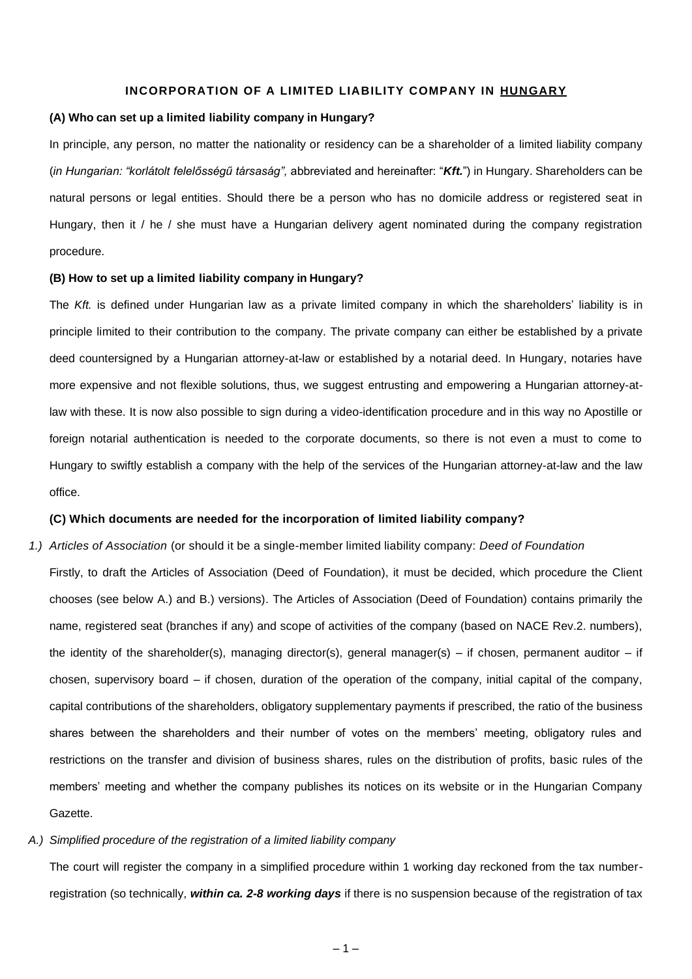## **INCORPORATION OF A LIMITED LIABILITY COMPANY IN HUNGARY**

# **(A) Who can set up a limited liability company in Hungary?**

In principle, any person, no matter the nationality or residency can be a shareholder of a limited liability company (*in Hungarian: "korlátolt felelősségű társaság",* abbreviated and hereinafter: "*Kft.*") in Hungary. Shareholders can be natural persons or legal entities. Should there be a person who has no domicile address or registered seat in Hungary, then it / he / she must have a Hungarian delivery agent nominated during the company registration procedure.

## **(B) How to set up a limited liability company in Hungary?**

The *Kft.* is defined under Hungarian law as a private limited company in which the shareholders' liability is in principle limited to their contribution to the company. The private company can either be established by a private deed countersigned by a Hungarian attorney-at-law or established by a notarial deed. In Hungary, notaries have more expensive and not flexible solutions, thus, we suggest entrusting and empowering a Hungarian attorney-atlaw with these. It is now also possible to sign during a video-identification procedure and in this way no Apostille or foreign notarial authentication is needed to the corporate documents, so there is not even a must to come to Hungary to swiftly establish a company with the help of the services of the Hungarian attorney-at-law and the law office.

# **(C) Which documents are needed for the incorporation of limited liability company?**

*1.) Articles of Association* (or should it be a single-member limited liability company: *Deed of Foundation* Firstly, to draft the Articles of Association (Deed of Foundation), it must be decided, which procedure the Client chooses (see below A.) and B.) versions). The Articles of Association (Deed of Foundation) contains primarily the name, registered seat (branches if any) and scope of activities of the company (based on NACE Rev.2. numbers), the identity of the shareholder(s), managing director(s), general manager(s) – if chosen, permanent auditor – if chosen, supervisory board – if chosen, duration of the operation of the company, initial capital of the company, capital contributions of the shareholders, obligatory supplementary payments if prescribed, the ratio of the business shares between the shareholders and their number of votes on the members' meeting, obligatory rules and restrictions on the transfer and division of business shares, rules on the distribution of profits, basic rules of the members' meeting and whether the company publishes its notices on its website or in the Hungarian Company Gazette.

#### *A.) Simplified procedure of the registration of a limited liability company*

The court will register the company in a simplified procedure within 1 working day reckoned from the tax numberregistration (so technically, *within ca. 2-8 working days* if there is no suspension because of the registration of tax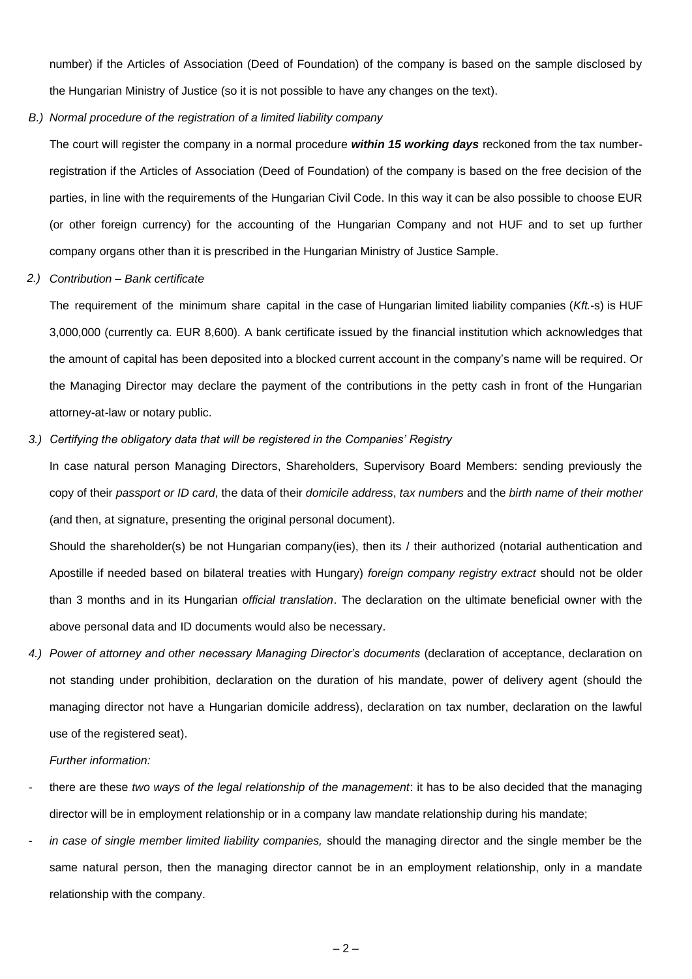number) if the Articles of Association (Deed of Foundation) of the company is based on the sample disclosed by the Hungarian Ministry of Justice (so it is not possible to have any changes on the text).

*B.) Normal procedure of the registration of a limited liability company*

The court will register the company in a normal procedure *within 15 working days* reckoned from the tax numberregistration if the Articles of Association (Deed of Foundation) of the company is based on the free decision of the parties, in line with the requirements of the Hungarian Civil Code. In this way it can be also possible to choose EUR (or other foreign currency) for the accounting of the Hungarian Company and not HUF and to set up further company organs other than it is prescribed in the Hungarian Ministry of Justice Sample.

*2.) Contribution – Bank certificate*

The requirement of the minimum share capital in the case of Hungarian limited liability companies (*Kft.*-s) is HUF 3,000,000 (currently ca. EUR 8,600). A bank certificate issued by the financial institution which acknowledges that the amount of capital has been deposited into a blocked current account in the company's name will be required. Or the Managing Director may declare the payment of the contributions in the petty cash in front of the Hungarian attorney-at-law or notary public.

## *3.) Certifying the obligatory data that will be registered in the Companies' Registry*

In case natural person Managing Directors, Shareholders, Supervisory Board Members: sending previously the copy of their *passport or ID card*, the data of their *domicile address*, *tax numbers* and the *birth name of their mother* (and then, at signature, presenting the original personal document).

Should the shareholder(s) be not Hungarian company(ies), then its / their authorized (notarial authentication and Apostille if needed based on bilateral treaties with Hungary) *foreign company registry extract* should not be older than 3 months and in its Hungarian *official translation*. The declaration on the ultimate beneficial owner with the above personal data and ID documents would also be necessary.

*4.) Power of attorney and other necessary Managing Director's documents* (declaration of acceptance, declaration on not standing under prohibition, declaration on the duration of his mandate, power of delivery agent (should the managing director not have a Hungarian domicile address), declaration on tax number, declaration on the lawful use of the registered seat).

#### *Further information:*

- *-* there are these *two ways of the legal relationship of the management*: it has to be also decided that the managing director will be in employment relationship or in a company law mandate relationship during his mandate;
- *- in case of single member limited liability companies,* should the managing director and the single member be the same natural person, then the managing director cannot be in an employment relationship, only in a mandate relationship with the company.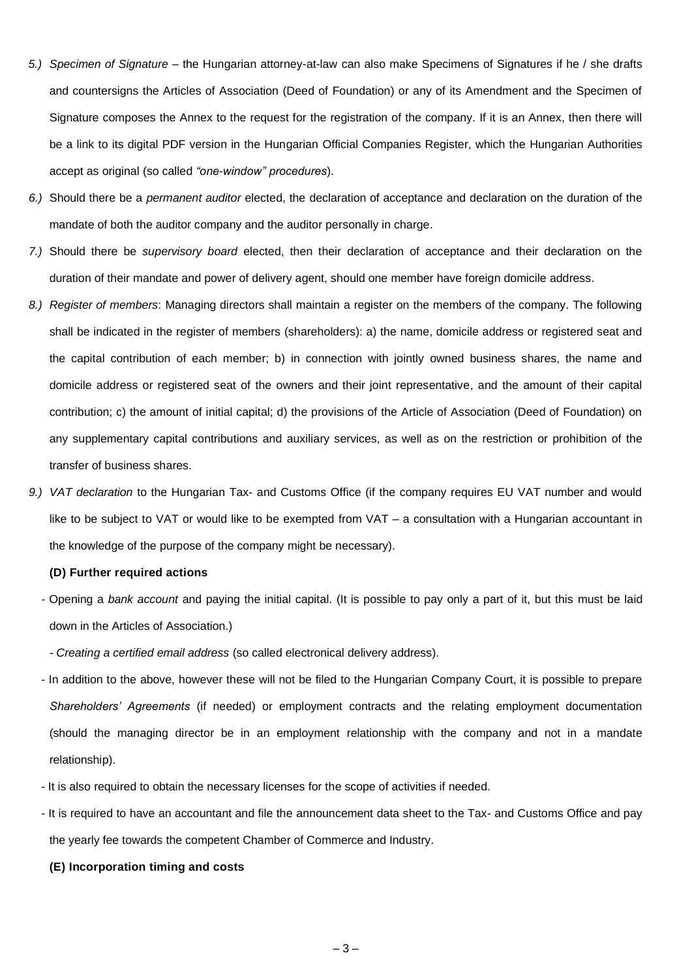- *5.) Specimen of Signature* the Hungarian attorney-at-law can also make Specimens of Signatures if he / she drafts and countersigns the Articles of Association (Deed of Foundation) or any of its Amendment and the Specimen of Signature composes the Annex to the request for the registration of the company. If it is an Annex, then there will be a link to its digital PDF version in the Hungarian Official Companies Register, which the Hungarian Authorities accept as original (so called *"one-window" procedures*).
- *6.)* Should there be a *permanent auditor* elected, the declaration of acceptance and declaration on the duration of the mandate of both the auditor company and the auditor personally in charge.
- *7.)* Should there be *supervisory board* elected, then their declaration of acceptance and their declaration on the duration of their mandate and power of delivery agent, should one member have foreign domicile address.
- *8.) Register of members*: Managing directors shall maintain a register on the members of the company. The following shall be indicated in the register of members (shareholders): a) the name, domicile address or registered seat and the capital contribution of each member; b) in connection with jointly owned business shares, the name and domicile address or registered seat of the owners and their joint representative, and the amount of their capital contribution; c) the amount of initial capital; d) the provisions of the Article of Association (Deed of Foundation) on any supplementary capital contributions and auxiliary services, as well as on the restriction or prohibition of the transfer of business shares.
- *9.) VAT declaration* to the Hungarian Tax- and Customs Office (if the company requires EU VAT number and would like to be subject to VAT or would like to be exempted from VAT – a consultation with a Hungarian accountant in the knowledge of the purpose of the company might be necessary).

# **(D) Further required actions**

- *-* Opening a *bank account* and paying the initial capital. (It is possible to pay only a part of it, but this must be laid down in the Articles of Association.)
	- *- Creating a certified email address* (so called electronical delivery address).
- In addition to the above, however these will not be filed to the Hungarian Company Court, it is possible to prepare *Shareholders' Agreements* (if needed) or employment contracts and the relating employment documentation (should the managing director be in an employment relationship with the company and not in a mandate relationship).
- It is also required to obtain the necessary licenses for the scope of activities if needed.
- It is required to have an accountant and file the announcement data sheet to the Tax- and Customs Office and pay the yearly fee towards the competent Chamber of Commerce and Industry.
	- **(E) Incorporation timing and costs**